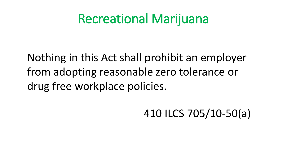## Recreational Marijuana

Nothing in this Act shall prohibit an employer from adopting reasonable zero tolerance or drug free workplace policies.

410 ILCS 705/10-50(a)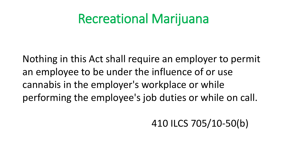## Recreational Marijuana

Nothing in this Act shall require an employer to permit an employee to be under the influence of or use cannabis in the employer's workplace or while performing the employee's job duties or while on call.

410 ILCS 705/10-50(b)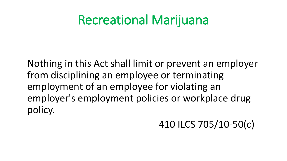## Recreational Marijuana

Nothing in this Act shall limit or prevent an employer from disciplining an employee or terminating employment of an employee for violating an employer's employment policies or workplace drug policy.

#### 410 ILCS 705/10-50(c)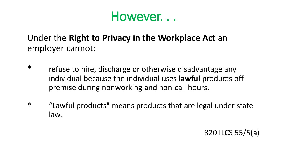#### However. . .

#### Under the **Right to Privacy in the Workplace Act** an employer cannot:

- \* refuse to hire, discharge or otherwise disadvantage any individual because the individual uses **lawful** products offpremise during nonworking and non-call hours.
- \* "Lawful products" means products that are legal under state law.

820 ILCS 55/5(a)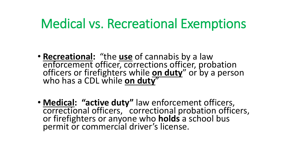## Medical vs. Recreational Exemptions

- **Recreational:** "the **use** of cannabis by a law enforcement officer, corrections officer, probation officers or firefighters while **on duty**" or by a person who has a CDL while **on duty**"
- **Medical: "active duty"** law enforcement officers, correctional officers, correctional probation officers, or firefighters or anyone who **holds** a school bus permit or commercial driver's license.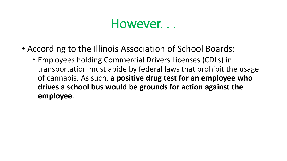#### However. . .

- According to the Illinois Association of School Boards:
	- Employees holding Commercial Drivers Licenses (CDLs) in transportation must abide by federal laws that prohibit the usage of cannabis. As such, **a positive drug test for an employee who drives a school bus would be grounds for action against the employee**.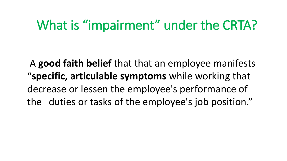## What is "impairment" under the CRTA?

A **good faith belief** that that an employee manifests "**specific, articulable symptoms** while working that decrease or lessen the employee's performance of the duties or tasks of the employee's job position."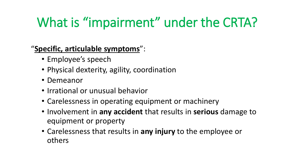# What is "impairment" under the CRTA?

"**Specific, articulable symptoms**":

- Employee's speech
- Physical dexterity, agility, coordination
- Demeanor
- Irrational or unusual behavior
- Carelessness in operating equipment or machinery
- Involvement in **any accident** that results in **serious** damage to equipment or property
- Carelessness that results in **any injury** to the employee or others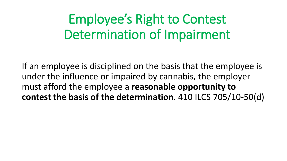# Employee's Right to Contest Determination of Impairment

If an employee is disciplined on the basis that the employee is under the influence or impaired by cannabis, the employer must afford the employee a **reasonable opportunity to contest the basis of the determination**. 410 ILCS 705/10-50(d)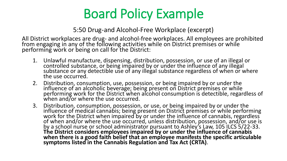# Board Policy Example

5:50 Drug-and Alcohol-Free Workplace (excerpt)

All District workplaces are drug- and alcohol-free workplaces. All employees are prohibited from engaging in any of the following activities while on District premises or while performing work or being on call for the District:

- 1. Unlawful manufacture, dispensing, distribution, possession, or use of an illegal or controlled substance, or being impaired by or under the influence of any illegal substance or any detectible use of any illegal substance regardless of when or where the use occurred.
- 2. Distribution, consumption, use, possession, or being impaired by or under the influence of an alcoholic beverage; being present on District premises or while performing work for the District when alcohol consumption is detectible, regardless of when and/or where the use occurred.
- 3. Distribution, consumption, possession, or use, or being impaired by or under the influence of medical cannabis; being present on District premises or while performing work for the District when impaired by or under the influence of cannabis, regardless of when and/or where the use occurred, unless distribution, possession, and/or use is by a school nurse or school administrator pursuant to Ashley's Law, 105 ILCS 5/22-33. **The District considers employees impaired by or under the influence of cannabis when there is a good faith belief that an employee manifests the specific articulable symptoms listed in the Cannabis Regulation and Tax Act (CRTA)**.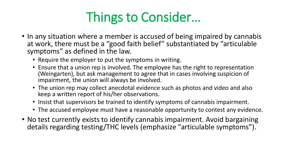# Things to Consider…

- In any situation where a member is accused of being impaired by cannabis at work, there must be a "good faith belief" substantiated by "articulable symptoms" as defined in the law.
	- Require the employer to put the symptoms in writing.
	- Ensure that a union rep is involved. The employee has the right to representation (Weingarten), but ask management to agree that in cases involving suspicion of impairment, the union will always be involved.
	- The union rep may collect anecdotal evidence such as photos and video and also keep a written report of his/her observations.
	- Insist that supervisors be trained to identify symptoms of cannabis impairment.
	- The accused employee must have a reasonable opportunity to contest any evidence.
- No test currently exists to identify cannabis impairment. Avoid bargaining details regarding testing/THC levels (emphasize "articulable symptoms").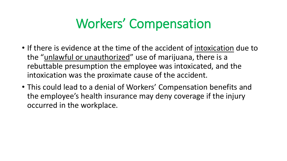# Workers' Compensation

- If there is evidence at the time of the accident of intoxication due to the "unlawful or unauthorized" use of marijuana, there is a rebuttable presumption the employee was intoxicated, and the intoxication was the proximate cause of the accident.
- This could lead to a denial of Workers' Compensation benefits and the employee's health insurance may deny coverage if the injury occurred in the workplace.